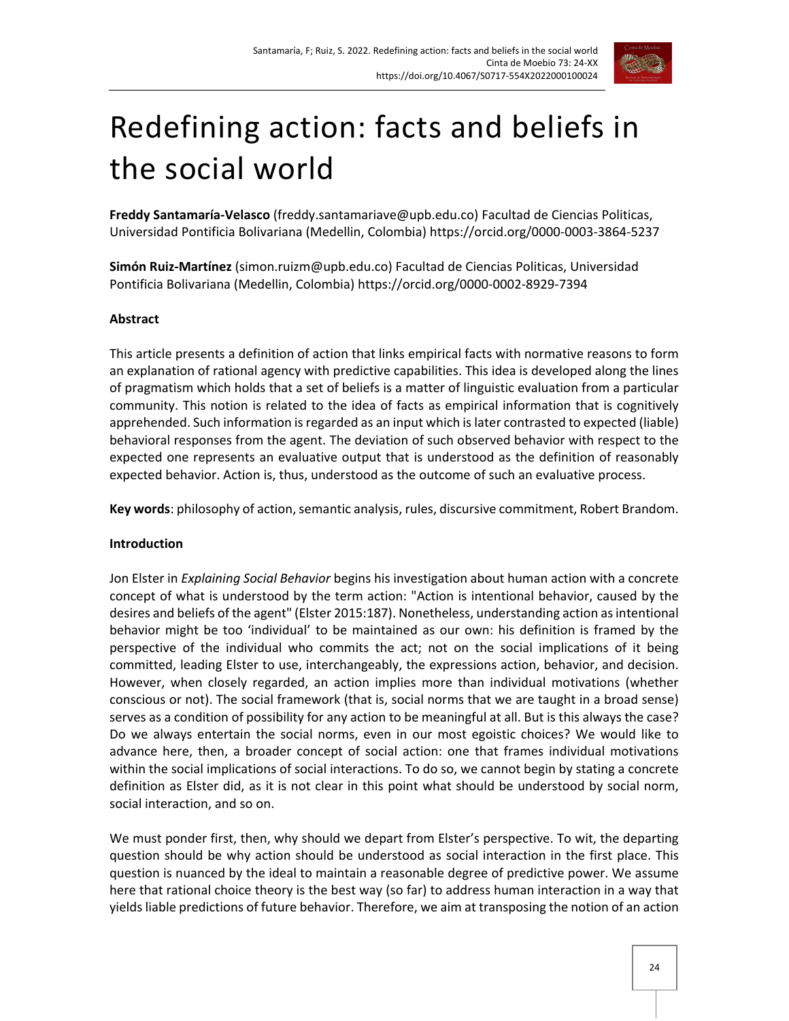

# Redefining action: facts and beliefs in the social world

**Freddy Santamaría-Velasco** (freddy.santamariave@upb.edu.co) Facultad de Ciencias Politicas, Universidad Pontificia Bolivariana (Medellin, Colombia) https://orcid.org/0000-0003-3864-5237

**Simón Ruiz-Martínez** (simon.ruizm@upb.edu.co) Facultad de Ciencias Politicas, Universidad Pontificia Bolivariana (Medellin, Colombia) https://orcid.org/0000-0002-8929-7394

## **Abstract**

This article presents a definition of action that links empirical facts with normative reasons to form an explanation of rational agency with predictive capabilities. This idea is developed along the lines of pragmatism which holds that a set of beliefs is a matter of linguistic evaluation from a particular community. This notion is related to the idea of facts as empirical information that is cognitively apprehended. Such information is regarded as an input which is later contrasted to expected (liable) behavioral responses from the agent. The deviation of such observed behavior with respect to the expected one represents an evaluative output that is understood as the definition of reasonably expected behavior. Action is, thus, understood as the outcome of such an evaluative process.

Key words: philosophy of action, semantic analysis, rules, discursive commitment, Robert Brandom.

#### **Introduction**

Jon Elster in *Explaining Social Behavior* begins his investigation about human action with a concrete concept of what is understood by the term action: "Action is intentional behavior, caused by the desires and beliefs of the agent" (Elster 2015:187). Nonetheless, understanding action as intentional behavior might be too 'individual' to be maintained as our own: his definition is framed by the perspective of the individual who commits the act; not on the social implications of it being committed, leading Elster to use, interchangeably, the expressions action, behavior, and decision. However, when closely regarded, an action implies more than individual motivations (whether conscious or not). The social framework (that is, social norms that we are taught in a broad sense) serves as a condition of possibility for any action to be meaningful at all. But is this always the case? Do we always entertain the social norms, even in our most egoistic choices? We would like to advance here, then, a broader concept of social action: one that frames individual motivations within the social implications of social interactions. To do so, we cannot begin by stating a concrete definition as Elster did, as it is not clear in this point what should be understood by social norm, social interaction, and so on.

We must ponder first, then, why should we depart from Elster's perspective. To wit, the departing question should be why action should be understood as social interaction in the first place. This question is nuanced by the ideal to maintain a reasonable degree of predictive power. We assume here that rational choice theory is the best way (so far) to address human interaction in a way that yields liable predictions of future behavior. Therefore, we aim at transposing the notion of an action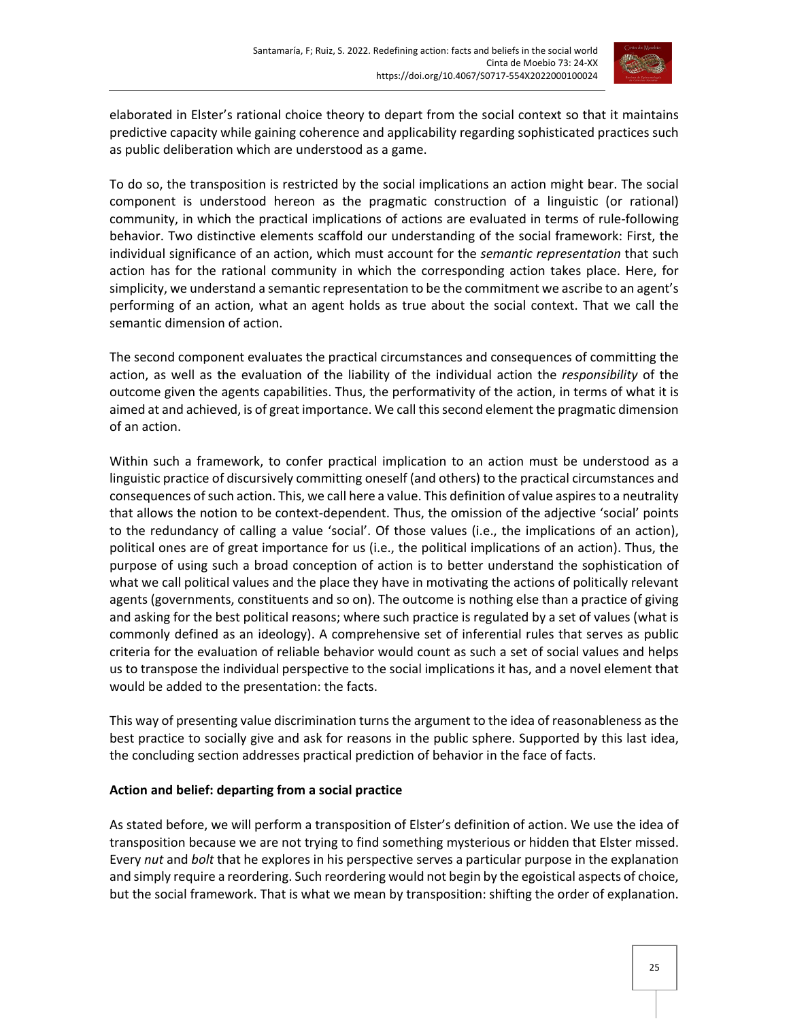

elaborated in Elster's rational choice theory to depart from the social context so that it maintains predictive capacity while gaining coherence and applicability regarding sophisticated practices such as public deliberation which are understood as a game.

To do so, the transposition is restricted by the social implications an action might bear. The social component is understood hereon as the pragmatic construction of a linguistic (or rational) community, in which the practical implications of actions are evaluated in terms of rule-following behavior. Two distinctive elements scaffold our understanding of the social framework: First, the individual significance of an action, which must account for the *semantic representation* that such action has for the rational community in which the corresponding action takes place. Here, for simplicity, we understand a semantic representation to be the commitment we ascribe to an agent's performing of an action, what an agent holds as true about the social context. That we call the semantic dimension of action.

The second component evaluates the practical circumstances and consequences of committing the action, as well as the evaluation of the liability of the individual action the *responsibility* of the outcome given the agents capabilities. Thus, the performativity of the action, in terms of what it is aimed at and achieved, is of great importance. We call this second element the pragmatic dimension of an action.

Within such a framework, to confer practical implication to an action must be understood as a linguistic practice of discursively committing oneself (and others) to the practical circumstances and consequences of such action. This, we call here a value. This definition of value aspires to a neutrality that allows the notion to be context-dependent. Thus, the omission of the adjective 'social' points to the redundancy of calling a value 'social'. Of those values (i.e., the implications of an action), political ones are of great importance for us (i.e., the political implications of an action). Thus, the purpose of using such a broad conception of action is to better understand the sophistication of what we call political values and the place they have in motivating the actions of politically relevant agents (governments, constituents and so on). The outcome is nothing else than a practice of giving and asking for the best political reasons; where such practice is regulated by a set of values (what is commonly defined as an ideology). A comprehensive set of inferential rules that serves as public criteria for the evaluation of reliable behavior would count as such a set of social values and helps us to transpose the individual perspective to the social implications it has, and a novel element that would be added to the presentation: the facts.

This way of presenting value discrimination turns the argument to the idea of reasonableness as the best practice to socially give and ask for reasons in the public sphere. Supported by this last idea, the concluding section addresses practical prediction of behavior in the face of facts.

## **Action and belief: departing from a social practice**

As stated before, we will perform a transposition of Elster's definition of action. We use the idea of transposition because we are not trying to find something mysterious or hidden that Elster missed. Every *nut* and *bolt* that he explores in his perspective serves a particular purpose in the explanation and simply require a reordering. Such reordering would not begin by the egoistical aspects of choice, but the social framework. That is what we mean by transposition: shifting the order of explanation.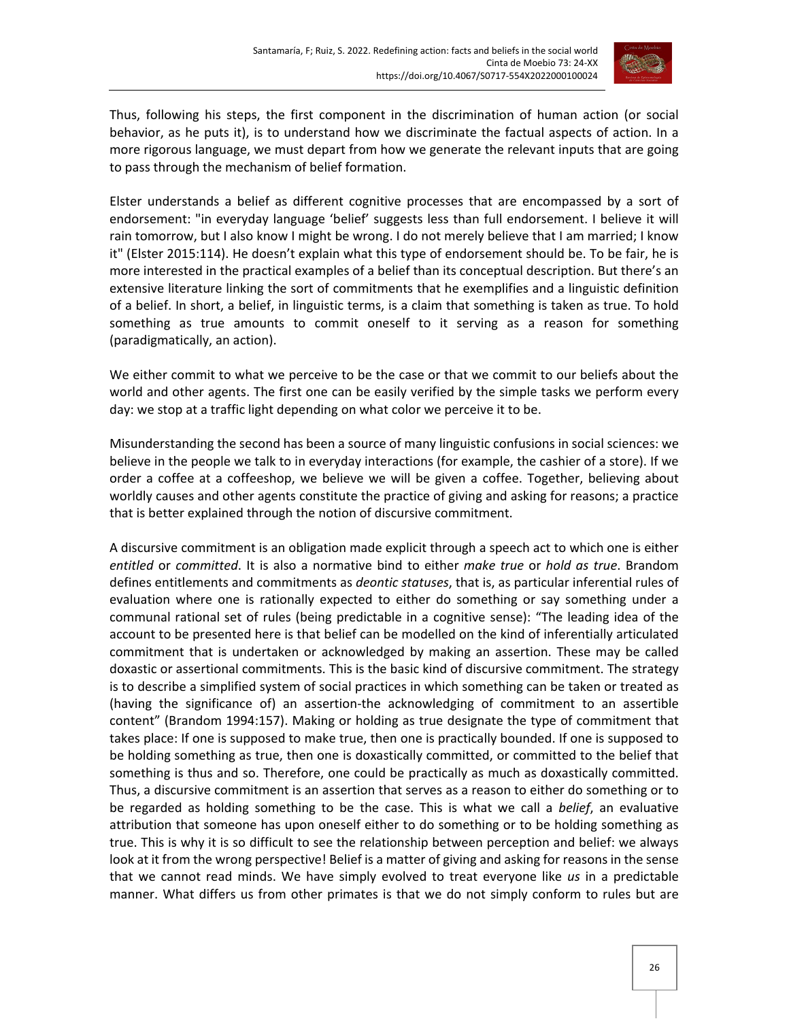

Thus, following his steps, the first component in the discrimination of human action (or social behavior, as he puts it), is to understand how we discriminate the factual aspects of action. In a more rigorous language, we must depart from how we generate the relevant inputs that are going to pass through the mechanism of belief formation.

Elster understands a belief as different cognitive processes that are encompassed by a sort of endorsement: "in everyday language 'belief' suggests less than full endorsement. I believe it will rain tomorrow, but I also know I might be wrong. I do not merely believe that I am married; I know it" (Elster 2015:114). He doesn't explain what this type of endorsement should be. To be fair, he is more interested in the practical examples of a belief than its conceptual description. But there's an extensive literature linking the sort of commitments that he exemplifies and a linguistic definition of a belief. In short, a belief, in linguistic terms, is a claim that something is taken as true. To hold something as true amounts to commit oneself to it serving as a reason for something (paradigmatically, an action).

We either commit to what we perceive to be the case or that we commit to our beliefs about the world and other agents. The first one can be easily verified by the simple tasks we perform every day: we stop at a traffic light depending on what color we perceive it to be.

Misunderstanding the second has been a source of many linguistic confusions in social sciences: we believe in the people we talk to in everyday interactions (for example, the cashier of a store). If we order a coffee at a coffeeshop, we believe we will be given a coffee. Together, believing about worldly causes and other agents constitute the practice of giving and asking for reasons; a practice that is better explained through the notion of discursive commitment.

A discursive commitment is an obligation made explicit through a speech act to which one is either *entitled* or *committed*. It is also a normative bind to either *make true* or *hold as true*. Brandom defines entitlements and commitments as *deontic statuses*, that is, as particular inferential rules of evaluation where one is rationally expected to either do something or say something under a communal rational set of rules (being predictable in a cognitive sense): "The leading idea of the account to be presented here is that belief can be modelled on the kind of inferentially articulated commitment that is undertaken or acknowledged by making an assertion. These may be called doxastic or assertional commitments. This is the basic kind of discursive commitment. The strategy is to describe a simplified system of social practices in which something can be taken or treated as (having the significance of) an assertion-the acknowledging of commitment to an assertible content" (Brandom 1994:157). Making or holding as true designate the type of commitment that takes place: If one is supposed to make true, then one is practically bounded. If one is supposed to be holding something as true, then one is doxastically committed, or committed to the belief that something is thus and so. Therefore, one could be practically as much as doxastically committed. Thus, a discursive commitment is an assertion that serves as a reason to either do something or to be regarded as holding something to be the case. This is what we call a *belief*, an evaluative attribution that someone has upon oneself either to do something or to be holding something as true. This is why it is so difficult to see the relationship between perception and belief: we always look at it from the wrong perspective! Belief is a matter of giving and asking for reasons in the sense that we cannot read minds. We have simply evolved to treat everyone like *us* in a predictable manner. What differs us from other primates is that we do not simply conform to rules but are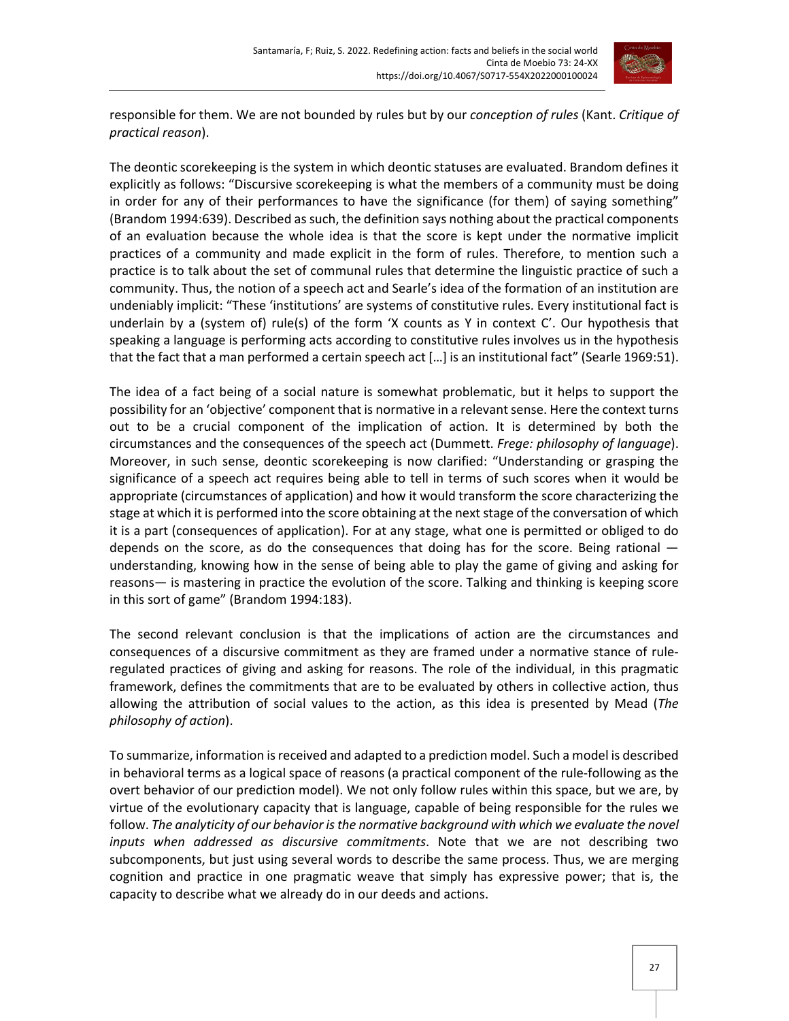

responsible for them. We are not bounded by rules but by our *conception of rules* (Kant. *Critique of practical reason*).

The deontic scorekeeping is the system in which deontic statuses are evaluated. Brandom defines it explicitly as follows: "Discursive scorekeeping is what the members of a community must be doing in order for any of their performances to have the significance (for them) of saying something" (Brandom 1994:639). Described as such, the definition says nothing about the practical components of an evaluation because the whole idea is that the score is kept under the normative implicit practices of a community and made explicit in the form of rules. Therefore, to mention such a practice is to talk about the set of communal rules that determine the linguistic practice of such a community. Thus, the notion of a speech act and Searle's idea of the formation of an institution are undeniably implicit: "These 'institutions' are systems of constitutive rules. Every institutional fact is underlain by a (system of) rule(s) of the form 'X counts as Y in context C'. Our hypothesis that speaking a language is performing acts according to constitutive rules involves us in the hypothesis that the fact that a man performed a certain speech act […] is an institutional fact" (Searle 1969:51).

The idea of a fact being of a social nature is somewhat problematic, but it helps to support the possibility for an 'objective' component that is normative in a relevant sense. Here the context turns out to be a crucial component of the implication of action. It is determined by both the circumstances and the consequences of the speech act (Dummett. *Frege: philosophy of language*). Moreover, in such sense, deontic scorekeeping is now clarified: "Understanding or grasping the significance of a speech act requires being able to tell in terms of such scores when it would be appropriate (circumstances of application) and how it would transform the score characterizing the stage at which it is performed into the score obtaining at the next stage of the conversation of which it is a part (consequences of application). For at any stage, what one is permitted or obliged to do depends on the score, as do the consequences that doing has for the score. Being rational  $$ understanding, knowing how in the sense of being able to play the game of giving and asking for reasons— is mastering in practice the evolution of the score. Talking and thinking is keeping score in this sort of game" (Brandom 1994:183).

The second relevant conclusion is that the implications of action are the circumstances and consequences of a discursive commitment as they are framed under a normative stance of ruleregulated practices of giving and asking for reasons. The role of the individual, in this pragmatic framework, defines the commitments that are to be evaluated by others in collective action, thus allowing the attribution of social values to the action, as this idea is presented by Mead (*The philosophy of action*).

To summarize, information is received and adapted to a prediction model. Such a model is described in behavioral terms as a logical space of reasons (a practical component of the rule-following as the overt behavior of our prediction model). We not only follow rules within this space, but we are, by virtue of the evolutionary capacity that is language, capable of being responsible for the rules we follow. *The analyticity of our behavior is the normative background with which we evaluate the novel inputs when addressed as discursive commitments*. Note that we are not describing two subcomponents, but just using several words to describe the same process. Thus, we are merging cognition and practice in one pragmatic weave that simply has expressive power; that is, the capacity to describe what we already do in our deeds and actions.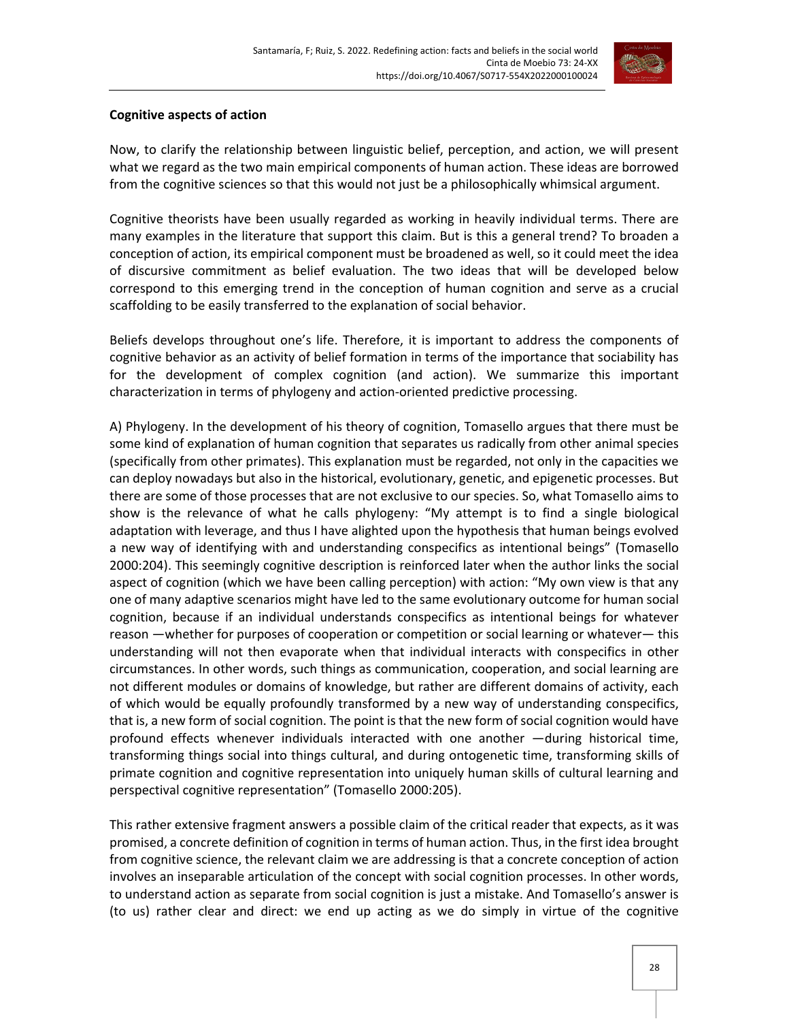

#### **Cognitive aspects of action**

Now, to clarify the relationship between linguistic belief, perception, and action, we will present what we regard as the two main empirical components of human action. These ideas are borrowed from the cognitive sciences so that this would not just be a philosophically whimsical argument.

Cognitive theorists have been usually regarded as working in heavily individual terms. There are many examples in the literature that support this claim. But is this a general trend? To broaden a conception of action, its empirical component must be broadened as well, so it could meet the idea of discursive commitment as belief evaluation. The two ideas that will be developed below correspond to this emerging trend in the conception of human cognition and serve as a crucial scaffolding to be easily transferred to the explanation of social behavior.

Beliefs develops throughout one's life. Therefore, it is important to address the components of cognitive behavior as an activity of belief formation in terms of the importance that sociability has for the development of complex cognition (and action). We summarize this important characterization in terms of phylogeny and action-oriented predictive processing.

A) Phylogeny. In the development of his theory of cognition, Tomasello argues that there must be some kind of explanation of human cognition that separates us radically from other animal species (specifically from other primates). This explanation must be regarded, not only in the capacities we can deploy nowadays but also in the historical, evolutionary, genetic, and epigenetic processes. But there are some of those processes that are not exclusive to our species. So, what Tomasello aims to show is the relevance of what he calls phylogeny: "My attempt is to find a single biological adaptation with leverage, and thus I have alighted upon the hypothesis that human beings evolved a new way of identifying with and understanding conspecifics as intentional beings" (Tomasello 2000:204). This seemingly cognitive description is reinforced later when the author links the social aspect of cognition (which we have been calling perception) with action: "My own view is that any one of many adaptive scenarios might have led to the same evolutionary outcome for human social cognition, because if an individual understands conspecifics as intentional beings for whatever reason —whether for purposes of cooperation or competition or social learning or whatever— this understanding will not then evaporate when that individual interacts with conspecifics in other circumstances. In other words, such things as communication, cooperation, and social learning are not different modules or domains of knowledge, but rather are different domains of activity, each of which would be equally profoundly transformed by a new way of understanding conspecifics, that is, a new form of social cognition. The point is that the new form of social cognition would have profound effects whenever individuals interacted with one another —during historical time, transforming things social into things cultural, and during ontogenetic time, transforming skills of primate cognition and cognitive representation into uniquely human skills of cultural learning and perspectival cognitive representation" (Tomasello 2000:205).

This rather extensive fragment answers a possible claim of the critical reader that expects, as it was promised, a concrete definition of cognition in terms of human action. Thus, in the first idea brought from cognitive science, the relevant claim we are addressing is that a concrete conception of action involves an inseparable articulation of the concept with social cognition processes. In other words, to understand action as separate from social cognition is just a mistake. And Tomasello's answer is (to us) rather clear and direct: we end up acting as we do simply in virtue of the cognitive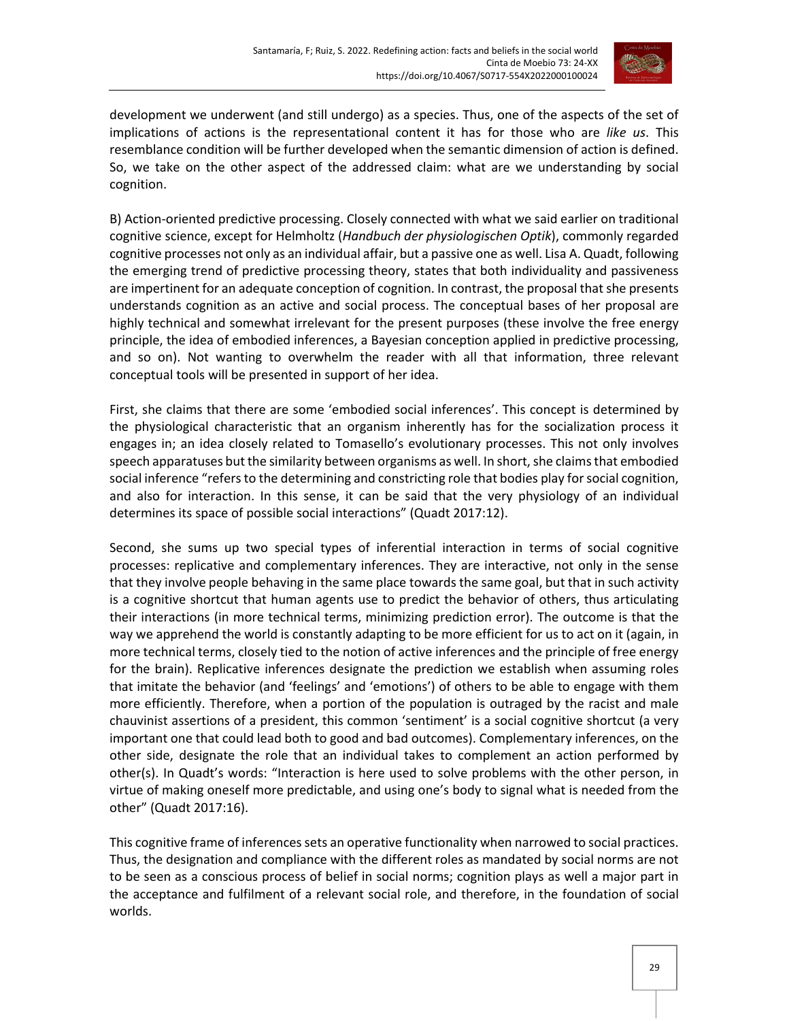

development we underwent (and still undergo) as a species. Thus, one of the aspects of the set of implications of actions is the representational content it has for those who are *like us*. This resemblance condition will be further developed when the semantic dimension of action is defined. So, we take on the other aspect of the addressed claim: what are we understanding by social cognition.

B) Action-oriented predictive processing. Closely connected with what we said earlier on traditional cognitive science, except for Helmholtz (*Handbuch der physiologischen Optik*), commonly regarded cognitive processes not only as an individual affair, but a passive one as well. Lisa A. Quadt, following the emerging trend of predictive processing theory, states that both individuality and passiveness are impertinent for an adequate conception of cognition. In contrast, the proposal that she presents understands cognition as an active and social process. The conceptual bases of her proposal are highly technical and somewhat irrelevant for the present purposes (these involve the free energy principle, the idea of embodied inferences, a Bayesian conception applied in predictive processing, and so on). Not wanting to overwhelm the reader with all that information, three relevant conceptual tools will be presented in support of her idea.

First, she claims that there are some 'embodied social inferences'. This concept is determined by the physiological characteristic that an organism inherently has for the socialization process it engages in; an idea closely related to Tomasello's evolutionary processes. This not only involves speech apparatuses but the similarity between organisms as well. In short, she claims that embodied social inference "refers to the determining and constricting role that bodies play for social cognition, and also for interaction. In this sense, it can be said that the very physiology of an individual determines its space of possible social interactions" (Quadt 2017:12).

Second, she sums up two special types of inferential interaction in terms of social cognitive processes: replicative and complementary inferences. They are interactive, not only in the sense that they involve people behaving in the same place towards the same goal, but that in such activity is a cognitive shortcut that human agents use to predict the behavior of others, thus articulating their interactions (in more technical terms, minimizing prediction error). The outcome is that the way we apprehend the world is constantly adapting to be more efficient for us to act on it (again, in more technical terms, closely tied to the notion of active inferences and the principle of free energy for the brain). Replicative inferences designate the prediction we establish when assuming roles that imitate the behavior (and 'feelings' and 'emotions') of others to be able to engage with them more efficiently. Therefore, when a portion of the population is outraged by the racist and male chauvinist assertions of a president, this common 'sentiment' is a social cognitive shortcut (a very important one that could lead both to good and bad outcomes). Complementary inferences, on the other side, designate the role that an individual takes to complement an action performed by other(s). In Quadt's words: "Interaction is here used to solve problems with the other person, in virtue of making oneself more predictable, and using one's body to signal what is needed from the other" (Quadt 2017:16).

This cognitive frame of inferences sets an operative functionality when narrowed to social practices. Thus, the designation and compliance with the different roles as mandated by social norms are not to be seen as a conscious process of belief in social norms; cognition plays as well a major part in the acceptance and fulfilment of a relevant social role, and therefore, in the foundation of social worlds.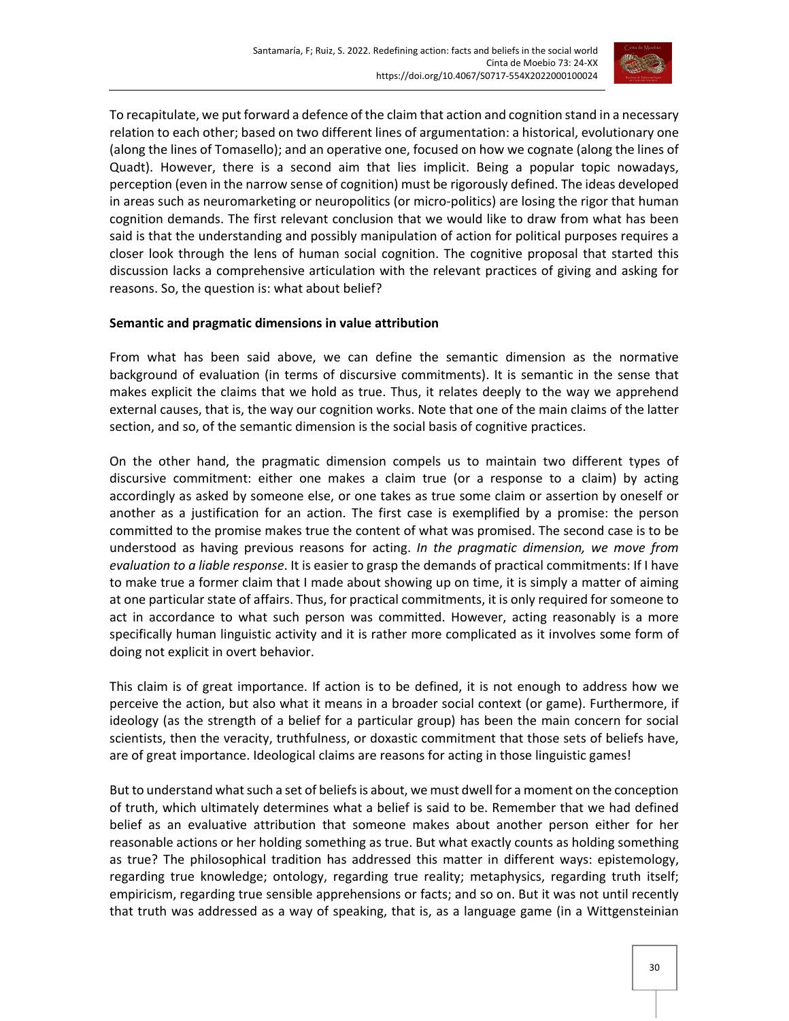

To recapitulate, we put forward a defence of the claim that action and cognition stand in a necessary relation to each other; based on two different lines of argumentation: a historical, evolutionary one (along the lines of Tomasello); and an operative one, focused on how we cognate (along the lines of Quadt). However, there is a second aim that lies implicit. Being a popular topic nowadays, perception (even in the narrow sense of cognition) must be rigorously defined. The ideas developed in areas such as neuromarketing or neuropolitics (or micro-politics) are losing the rigor that human cognition demands. The first relevant conclusion that we would like to draw from what has been said is that the understanding and possibly manipulation of action for political purposes requires a closer look through the lens of human social cognition. The cognitive proposal that started this discussion lacks a comprehensive articulation with the relevant practices of giving and asking for reasons. So, the question is: what about belief?

## **Semantic and pragmatic dimensions in value attribution**

From what has been said above, we can define the semantic dimension as the normative background of evaluation (in terms of discursive commitments). It is semantic in the sense that makes explicit the claims that we hold as true. Thus, it relates deeply to the way we apprehend external causes, that is, the way our cognition works. Note that one of the main claims of the latter section, and so, of the semantic dimension is the social basis of cognitive practices.

On the other hand, the pragmatic dimension compels us to maintain two different types of discursive commitment: either one makes a claim true (or a response to a claim) by acting accordingly as asked by someone else, or one takes as true some claim or assertion by oneself or another as a justification for an action. The first case is exemplified by a promise: the person committed to the promise makes true the content of what was promised. The second case is to be understood as having previous reasons for acting. *In the pragmatic dimension, we move from evaluation to a liable response*. It is easier to grasp the demands of practical commitments: If I have to make true a former claim that I made about showing up on time, it is simply a matter of aiming at one particular state of affairs. Thus, for practical commitments, it is only required for someone to act in accordance to what such person was committed. However, acting reasonably is a more specifically human linguistic activity and it is rather more complicated as it involves some form of doing not explicit in overt behavior.

This claim is of great importance. If action is to be defined, it is not enough to address how we perceive the action, but also what it means in a broader social context (or game). Furthermore, if ideology (as the strength of a belief for a particular group) has been the main concern for social scientists, then the veracity, truthfulness, or doxastic commitment that those sets of beliefs have, are of great importance. Ideological claims are reasons for acting in those linguistic games!

But to understand what such a set of beliefs is about, we must dwell for a moment on the conception of truth, which ultimately determines what a belief is said to be. Remember that we had defined belief as an evaluative attribution that someone makes about another person either for her reasonable actions or her holding something as true. But what exactly counts as holding something as true? The philosophical tradition has addressed this matter in different ways: epistemology, regarding true knowledge; ontology, regarding true reality; metaphysics, regarding truth itself; empiricism, regarding true sensible apprehensions or facts; and so on. But it was not until recently that truth was addressed as a way of speaking, that is, as a language game (in a Wittgensteinian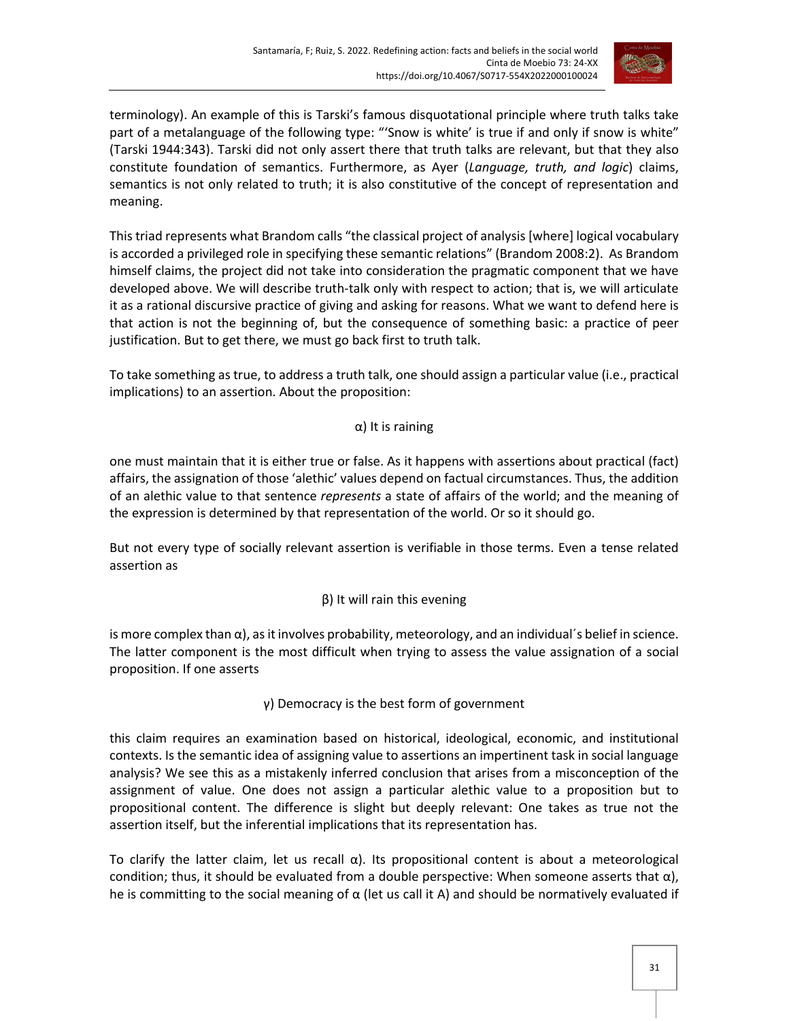

terminology). An example of this is Tarski's famous disquotational principle where truth talks take part of a metalanguage of the following type: "'Snow is white' is true if and only if snow is white" (Tarski 1944:343). Tarski did not only assert there that truth talks are relevant, but that they also constitute foundation of semantics. Furthermore, as Ayer (*Language, truth, and logic*) claims, semantics is not only related to truth; it is also constitutive of the concept of representation and meaning.

This triad represents what Brandom calls "the classical project of analysis [where] logical vocabulary is accorded a privileged role in specifying these semantic relations" (Brandom 2008:2). As Brandom himself claims, the project did not take into consideration the pragmatic component that we have developed above. We will describe truth-talk only with respect to action; that is, we will articulate it as a rational discursive practice of giving and asking for reasons. What we want to defend here is that action is not the beginning of, but the consequence of something basic: a practice of peer justification. But to get there, we must go back first to truth talk.

To take something as true, to address a truth talk, one should assign a particular value (i.e., practical implications) to an assertion. About the proposition:

## α) It is raining

one must maintain that it is either true or false. As it happens with assertions about practical (fact) affairs, the assignation of those 'alethic' values depend on factual circumstances. Thus, the addition of an alethic value to that sentence *represents* a state of affairs of the world; and the meaning of the expression is determined by that representation of the world. Or so it should go.

But not every type of socially relevant assertion is verifiable in those terms. Even a tense related assertion as

## β) It will rain this evening

is more complex than  $\alpha$ ), as it involves probability, meteorology, and an individual's belief in science. The latter component is the most difficult when trying to assess the value assignation of a social proposition. If one asserts

## γ) Democracy is the best form of government

this claim requires an examination based on historical, ideological, economic, and institutional contexts. Is the semantic idea of assigning value to assertions an impertinent task in social language analysis? We see this as a mistakenly inferred conclusion that arises from a misconception of the assignment of value. One does not assign a particular alethic value to a proposition but to propositional content. The difference is slight but deeply relevant: One takes as true not the assertion itself, but the inferential implications that its representation has.

To clarify the latter claim, let us recall  $\alpha$ ). Its propositional content is about a meteorological condition; thus, it should be evaluated from a double perspective: When someone asserts that  $\alpha$ ), he is committing to the social meaning of  $\alpha$  (let us call it A) and should be normatively evaluated if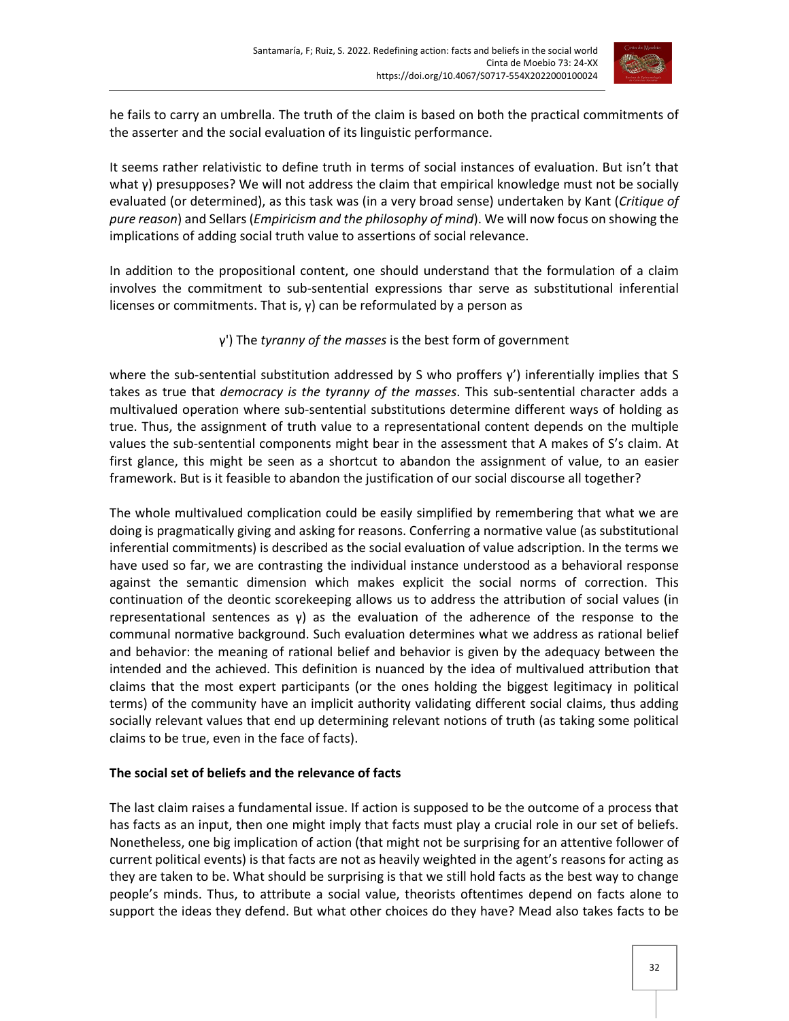

he fails to carry an umbrella. The truth of the claim is based on both the practical commitments of the asserter and the social evaluation of its linguistic performance.

It seems rather relativistic to define truth in terms of social instances of evaluation. But isn't that what γ) presupposes? We will not address the claim that empirical knowledge must not be socially evaluated (or determined), as this task was (in a very broad sense) undertaken by Kant (*Critique of pure reason*) and Sellars (*Empiricism and the philosophy of mind*). We will now focus on showing the implications of adding social truth value to assertions of social relevance.

In addition to the propositional content, one should understand that the formulation of a claim involves the commitment to sub-sentential expressions thar serve as substitutional inferential licenses or commitments. That is, γ) can be reformulated by a person as

## γ') The *tyranny of the masses* is the best form of government

where the sub-sentential substitution addressed by S who proffers y') inferentially implies that S takes as true that *democracy is the tyranny of the masses*. This sub-sentential character adds a multivalued operation where sub-sentential substitutions determine different ways of holding as true. Thus, the assignment of truth value to a representational content depends on the multiple values the sub-sentential components might bear in the assessment that A makes of S's claim. At first glance, this might be seen as a shortcut to abandon the assignment of value, to an easier framework. But is it feasible to abandon the justification of our social discourse all together?

The whole multivalued complication could be easily simplified by remembering that what we are doing is pragmatically giving and asking for reasons. Conferring a normative value (as substitutional inferential commitments) is described as the social evaluation of value adscription. In the terms we have used so far, we are contrasting the individual instance understood as a behavioral response against the semantic dimension which makes explicit the social norms of correction. This continuation of the deontic scorekeeping allows us to address the attribution of social values (in representational sentences as  $y$ ) as the evaluation of the adherence of the response to the communal normative background. Such evaluation determines what we address as rational belief and behavior: the meaning of rational belief and behavior is given by the adequacy between the intended and the achieved. This definition is nuanced by the idea of multivalued attribution that claims that the most expert participants (or the ones holding the biggest legitimacy in political terms) of the community have an implicit authority validating different social claims, thus adding socially relevant values that end up determining relevant notions of truth (as taking some political claims to be true, even in the face of facts).

## **The social set of beliefs and the relevance of facts**

The last claim raises a fundamental issue. If action is supposed to be the outcome of a process that has facts as an input, then one might imply that facts must play a crucial role in our set of beliefs. Nonetheless, one big implication of action (that might not be surprising for an attentive follower of current political events) is that facts are not as heavily weighted in the agent's reasons for acting as they are taken to be. What should be surprising is that we still hold facts as the best way to change people's minds. Thus, to attribute a social value, theorists oftentimes depend on facts alone to support the ideas they defend. But what other choices do they have? Mead also takes facts to be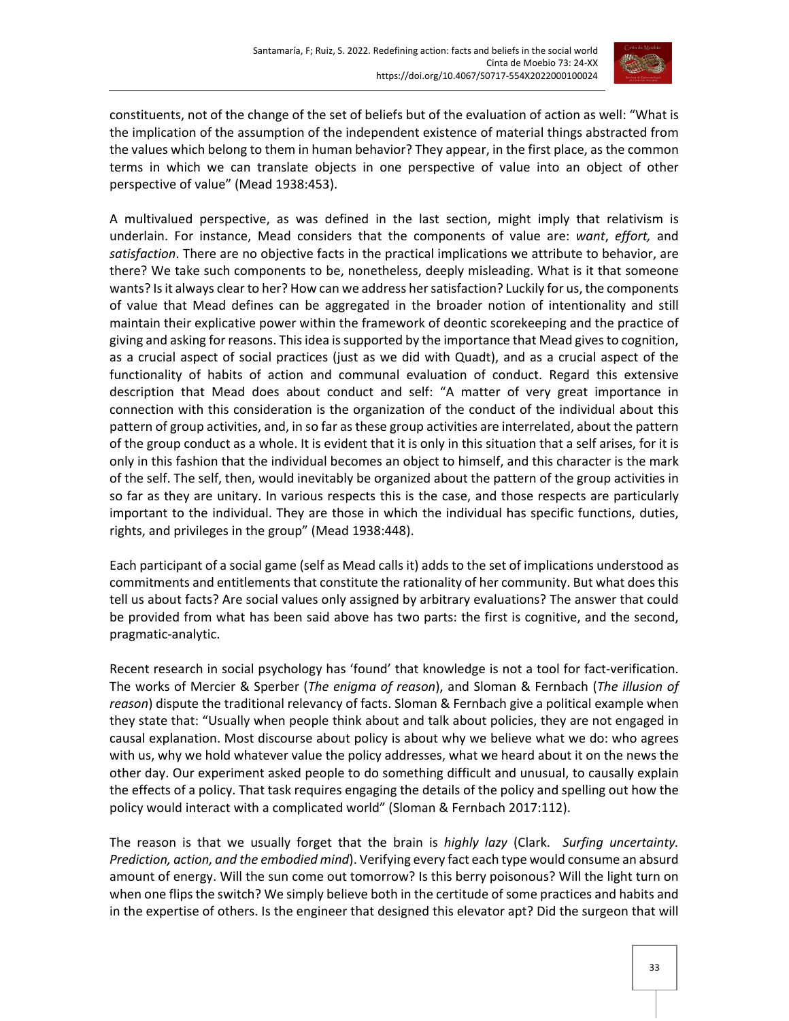

constituents, not of the change of the set of beliefs but of the evaluation of action as well: "What is the implication of the assumption of the independent existence of material things abstracted from the values which belong to them in human behavior? They appear, in the first place, as the common terms in which we can translate objects in one perspective of value into an object of other perspective of value" (Mead 1938:453).

A multivalued perspective, as was defined in the last section, might imply that relativism is underlain. For instance, Mead considers that the components of value are: *want*, *effort,* and *satisfaction*. There are no objective facts in the practical implications we attribute to behavior, are there? We take such components to be, nonetheless, deeply misleading. What is it that someone wants? Is it always clear to her? How can we address her satisfaction? Luckily for us, the components of value that Mead defines can be aggregated in the broader notion of intentionality and still maintain their explicative power within the framework of deontic scorekeeping and the practice of giving and asking for reasons. This idea is supported by the importance that Mead gives to cognition, as a crucial aspect of social practices (just as we did with Quadt), and as a crucial aspect of the functionality of habits of action and communal evaluation of conduct. Regard this extensive description that Mead does about conduct and self: "A matter of very great importance in connection with this consideration is the organization of the conduct of the individual about this pattern of group activities, and, in so far as these group activities are interrelated, about the pattern of the group conduct as a whole. It is evident that it is only in this situation that a self arises, for it is only in this fashion that the individual becomes an object to himself, and this character is the mark of the self. The self, then, would inevitably be organized about the pattern of the group activities in so far as they are unitary. In various respects this is the case, and those respects are particularly important to the individual. They are those in which the individual has specific functions, duties, rights, and privileges in the group" (Mead 1938:448).

Each participant of a social game (self as Mead calls it) adds to the set of implications understood as commitments and entitlements that constitute the rationality of her community. But what does this tell us about facts? Are social values only assigned by arbitrary evaluations? The answer that could be provided from what has been said above has two parts: the first is cognitive, and the second, pragmatic-analytic.

Recent research in social psychology has 'found' that knowledge is not a tool for fact-verification. The works of Mercier & Sperber (*The enigma of reason*), and Sloman & Fernbach (*The illusion of reason*) dispute the traditional relevancy of facts. Sloman & Fernbach give a political example when they state that: "Usually when people think about and talk about policies, they are not engaged in causal explanation. Most discourse about policy is about why we believe what we do: who agrees with us, why we hold whatever value the policy addresses, what we heard about it on the news the other day. Our experiment asked people to do something difficult and unusual, to causally explain the effects of a policy. That task requires engaging the details of the policy and spelling out how the policy would interact with a complicated world" (Sloman & Fernbach 2017:112).

The reason is that we usually forget that the brain is *highly lazy* (Clark. *Surfing uncertainty. Prediction, action, and the embodied mind*). Verifying every fact each type would consume an absurd amount of energy. Will the sun come out tomorrow? Is this berry poisonous? Will the light turn on when one flips the switch? We simply believe both in the certitude of some practices and habits and in the expertise of others. Is the engineer that designed this elevator apt? Did the surgeon that will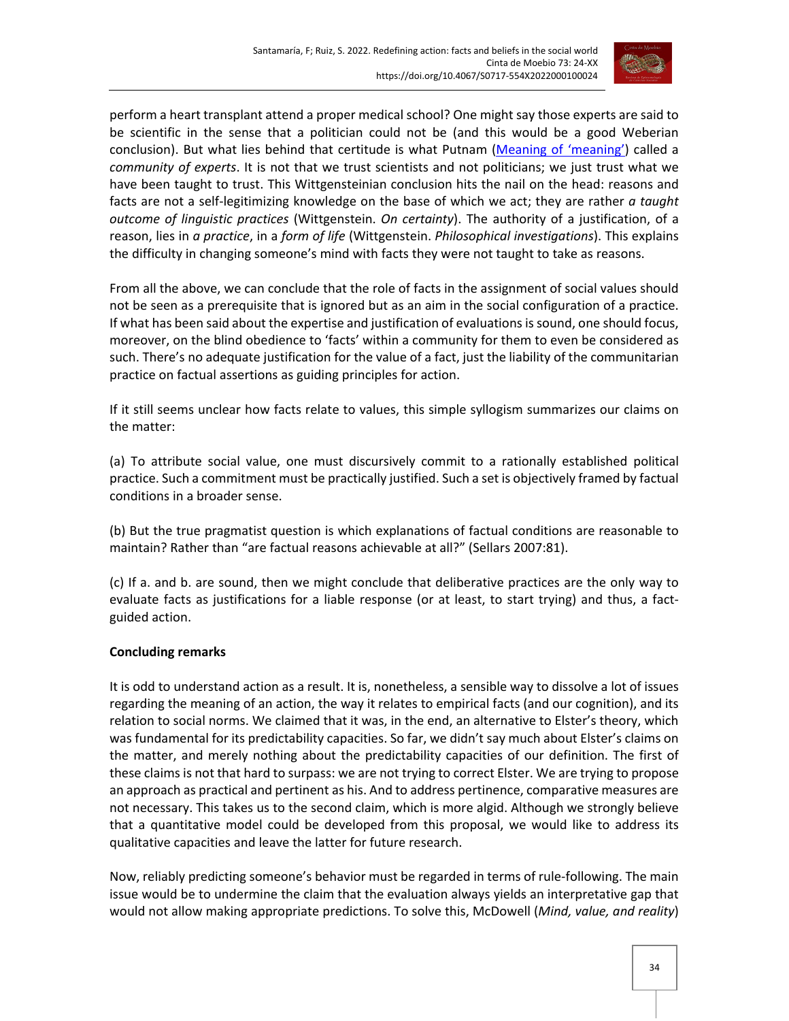

perform a heart transplant attend a proper medical school? One might say those experts are said to be scientific in the sense that a politician could not be (and this would be a good Weberian conclusion). But what lies behind that certitude is what Putnam [\(Meaning of 'meaning'\)](https://conservancy.umn.edu/handle/11299/185225) called a *community of experts*. It is not that we trust scientists and not politicians; we just trust what we have been taught to trust. This Wittgensteinian conclusion hits the nail on the head: reasons and facts are not a self-legitimizing knowledge on the base of which we act; they are rather *a taught outcome of linguistic practices* (Wittgenstein. *On certainty*). The authority of a justification, of a reason, lies in *a practice*, in a *form of life* (Wittgenstein. *Philosophical investigations*). This explains the difficulty in changing someone's mind with facts they were not taught to take as reasons.

From all the above, we can conclude that the role of facts in the assignment of social values should not be seen as a prerequisite that is ignored but as an aim in the social configuration of a practice. If what has been said about the expertise and justification of evaluations is sound, one should focus, moreover, on the blind obedience to 'facts' within a community for them to even be considered as such. There's no adequate justification for the value of a fact, just the liability of the communitarian practice on factual assertions as guiding principles for action.

If it still seems unclear how facts relate to values, this simple syllogism summarizes our claims on the matter:

(a) To attribute social value, one must discursively commit to a rationally established political practice. Such a commitment must be practically justified. Such a set is objectively framed by factual conditions in a broader sense.

(b) But the true pragmatist question is which explanations of factual conditions are reasonable to maintain? Rather than "are factual reasons achievable at all?" (Sellars 2007:81).

(c) If a. and b. are sound, then we might conclude that deliberative practices are the only way to evaluate facts as justifications for a liable response (or at least, to start trying) and thus, a factguided action.

## **Concluding remarks**

It is odd to understand action as a result. It is, nonetheless, a sensible way to dissolve a lot of issues regarding the meaning of an action, the way it relates to empirical facts (and our cognition), and its relation to social norms. We claimed that it was, in the end, an alternative to Elster's theory, which was fundamental for its predictability capacities. So far, we didn't say much about Elster's claims on the matter, and merely nothing about the predictability capacities of our definition. The first of these claims is not that hard to surpass: we are not trying to correct Elster. We are trying to propose an approach as practical and pertinent as his. And to address pertinence, comparative measures are not necessary. This takes us to the second claim, which is more algid. Although we strongly believe that a quantitative model could be developed from this proposal, we would like to address its qualitative capacities and leave the latter for future research.

Now, reliably predicting someone's behavior must be regarded in terms of rule-following. The main issue would be to undermine the claim that the evaluation always yields an interpretative gap that would not allow making appropriate predictions. To solve this, McDowell (*Mind, value, and reality*)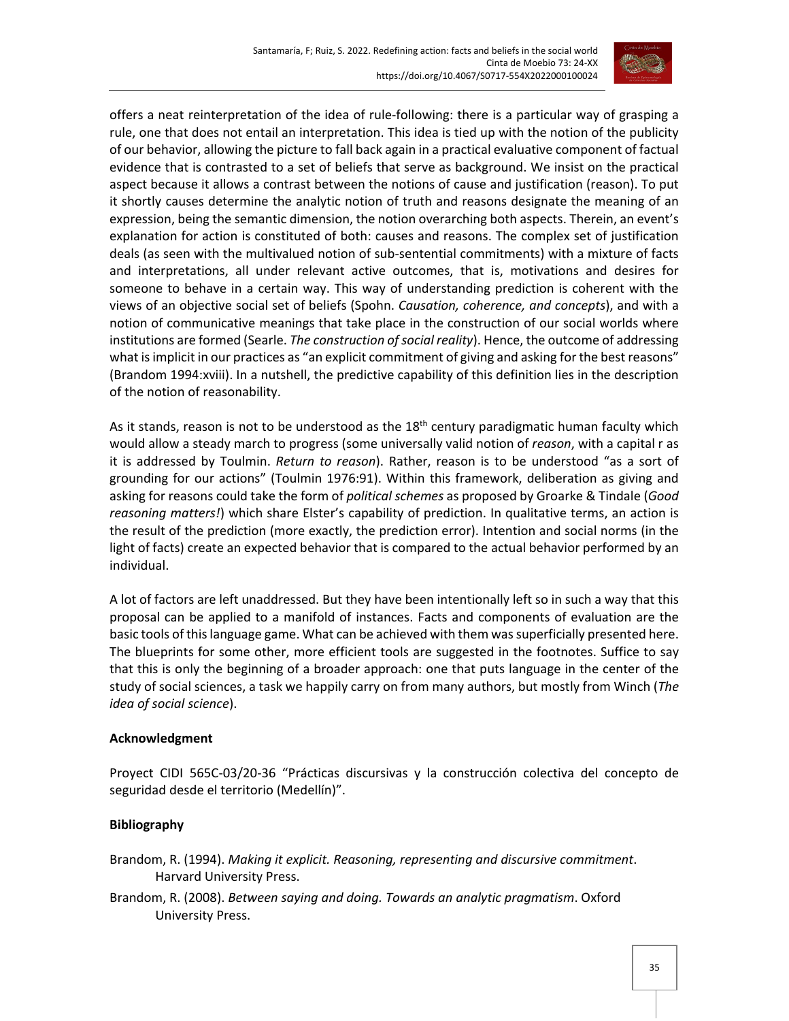

offers a neat reinterpretation of the idea of rule-following: there is a particular way of grasping a rule, one that does not entail an interpretation. This idea is tied up with the notion of the publicity of our behavior, allowing the picture to fall back again in a practical evaluative component of factual evidence that is contrasted to a set of beliefs that serve as background. We insist on the practical aspect because it allows a contrast between the notions of cause and justification (reason). To put it shortly causes determine the analytic notion of truth and reasons designate the meaning of an expression, being the semantic dimension, the notion overarching both aspects. Therein, an event's explanation for action is constituted of both: causes and reasons. The complex set of justification deals (as seen with the multivalued notion of sub-sentential commitments) with a mixture of facts and interpretations, all under relevant active outcomes, that is, motivations and desires for someone to behave in a certain way. This way of understanding prediction is coherent with the views of an objective social set of beliefs (Spohn. *Causation, coherence, and concepts*), and with a notion of communicative meanings that take place in the construction of our social worlds where institutions are formed (Searle. *The construction of social reality*). Hence, the outcome of addressing what is implicit in our practices as "an explicit commitment of giving and asking for the best reasons" (Brandom 1994:xviii). In a nutshell, the predictive capability of this definition lies in the description of the notion of reasonability.

As it stands, reason is not to be understood as the  $18<sup>th</sup>$  century paradigmatic human faculty which would allow a steady march to progress (some universally valid notion of *reason*, with a capital r as it is addressed by Toulmin. *Return to reason*). Rather, reason is to be understood "as a sort of grounding for our actions" (Toulmin 1976:91). Within this framework, deliberation as giving and asking for reasons could take the form of *political schemes* as proposed by Groarke & Tindale (*Good reasoning matters!*) which share Elster's capability of prediction. In qualitative terms, an action is the result of the prediction (more exactly, the prediction error). Intention and social norms (in the light of facts) create an expected behavior that is compared to the actual behavior performed by an individual.

A lot of factors are left unaddressed. But they have been intentionally left so in such a way that this proposal can be applied to a manifold of instances. Facts and components of evaluation are the basic tools of this language game. What can be achieved with them was superficially presented here. The blueprints for some other, more efficient tools are suggested in the footnotes. Suffice to say that this is only the beginning of a broader approach: one that puts language in the center of the study of social sciences, a task we happily carry on from many authors, but mostly from Winch (*The idea of social science*).

## **Acknowledgment**

Proyect CIDI 565C-03/20-36 "Prácticas discursivas y la construcción colectiva del concepto de seguridad desde el territorio (Medellín)".

## **Bibliography**

Brandom, R. (1994). *Making it explicit. Reasoning, representing and discursive commitment*. Harvard University Press.

Brandom, R. (2008). *Between saying and doing. Towards an analytic pragmatism*. Oxford University Press.